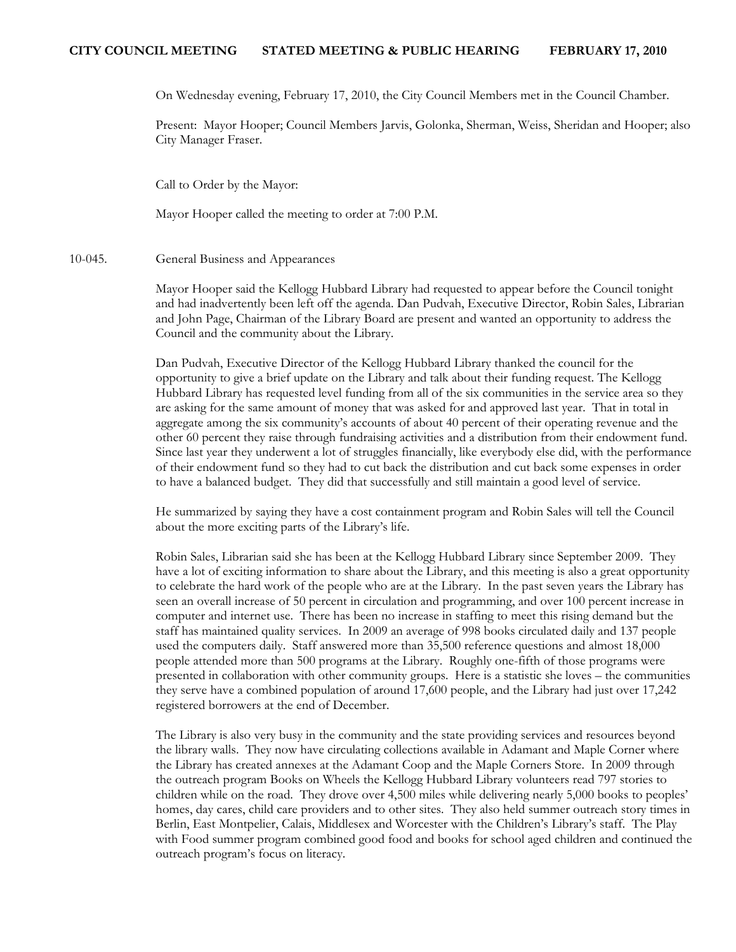On Wednesday evening, February 17, 2010, the City Council Members met in the Council Chamber.

Present: Mayor Hooper; Council Members Jarvis, Golonka, Sherman, Weiss, Sheridan and Hooper; also City Manager Fraser.

Call to Order by the Mayor:

Mayor Hooper called the meeting to order at 7:00 P.M.

10-045. General Business and Appearances

Mayor Hooper said the Kellogg Hubbard Library had requested to appear before the Council tonight and had inadvertently been left off the agenda. Dan Pudvah, Executive Director, Robin Sales, Librarian and John Page, Chairman of the Library Board are present and wanted an opportunity to address the Council and the community about the Library.

Dan Pudvah, Executive Director of the Kellogg Hubbard Library thanked the council for the opportunity to give a brief update on the Library and talk about their funding request. The Kellogg Hubbard Library has requested level funding from all of the six communities in the service area so they are asking for the same amount of money that was asked for and approved last year. That in total in aggregate among the six community's accounts of about 40 percent of their operating revenue and the other 60 percent they raise through fundraising activities and a distribution from their endowment fund. Since last year they underwent a lot of struggles financially, like everybody else did, with the performance of their endowment fund so they had to cut back the distribution and cut back some expenses in order to have a balanced budget. They did that successfully and still maintain a good level of service.

He summarized by saying they have a cost containment program and Robin Sales will tell the Council about the more exciting parts of the Library's life.

Robin Sales, Librarian said she has been at the Kellogg Hubbard Library since September 2009. They have a lot of exciting information to share about the Library, and this meeting is also a great opportunity to celebrate the hard work of the people who are at the Library. In the past seven years the Library has seen an overall increase of 50 percent in circulation and programming, and over 100 percent increase in computer and internet use. There has been no increase in staffing to meet this rising demand but the staff has maintained quality services. In 2009 an average of 998 books circulated daily and 137 people used the computers daily. Staff answered more than 35,500 reference questions and almost 18,000 people attended more than 500 programs at the Library. Roughly one-fifth of those programs were presented in collaboration with other community groups. Here is a statistic she loves – the communities they serve have a combined population of around 17,600 people, and the Library had just over 17,242 registered borrowers at the end of December.

The Library is also very busy in the community and the state providing services and resources beyond the library walls. They now have circulating collections available in Adamant and Maple Corner where the Library has created annexes at the Adamant Coop and the Maple Corners Store. In 2009 through the outreach program Books on Wheels the Kellogg Hubbard Library volunteers read 797 stories to children while on the road. They drove over 4,500 miles while delivering nearly 5,000 books to peoples' homes, day cares, child care providers and to other sites. They also held summer outreach story times in Berlin, East Montpelier, Calais, Middlesex and Worcester with the Children's Library's staff. The Play with Food summer program combined good food and books for school aged children and continued the outreach program's focus on literacy.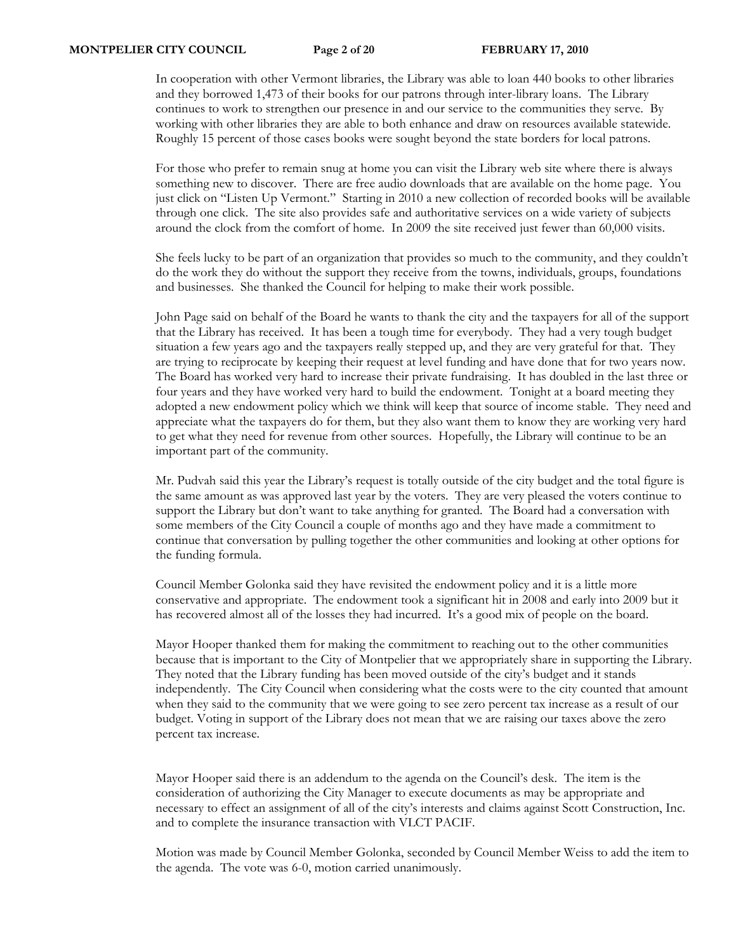In cooperation with other Vermont libraries, the Library was able to loan 440 books to other libraries and they borrowed 1,473 of their books for our patrons through inter-library loans. The Library continues to work to strengthen our presence in and our service to the communities they serve. By working with other libraries they are able to both enhance and draw on resources available statewide. Roughly 15 percent of those cases books were sought beyond the state borders for local patrons.

For those who prefer to remain snug at home you can visit the Library web site where there is always something new to discover. There are free audio downloads that are available on the home page. You just click on "Listen Up Vermont." Starting in 2010 a new collection of recorded books will be available through one click. The site also provides safe and authoritative services on a wide variety of subjects around the clock from the comfort of home. In 2009 the site received just fewer than 60,000 visits.

She feels lucky to be part of an organization that provides so much to the community, and they couldn't do the work they do without the support they receive from the towns, individuals, groups, foundations and businesses. She thanked the Council for helping to make their work possible.

John Page said on behalf of the Board he wants to thank the city and the taxpayers for all of the support that the Library has received. It has been a tough time for everybody. They had a very tough budget situation a few years ago and the taxpayers really stepped up, and they are very grateful for that. They are trying to reciprocate by keeping their request at level funding and have done that for two years now. The Board has worked very hard to increase their private fundraising. It has doubled in the last three or four years and they have worked very hard to build the endowment. Tonight at a board meeting they adopted a new endowment policy which we think will keep that source of income stable. They need and appreciate what the taxpayers do for them, but they also want them to know they are working very hard to get what they need for revenue from other sources. Hopefully, the Library will continue to be an important part of the community.

Mr. Pudvah said this year the Library's request is totally outside of the city budget and the total figure is the same amount as was approved last year by the voters. They are very pleased the voters continue to support the Library but don't want to take anything for granted. The Board had a conversation with some members of the City Council a couple of months ago and they have made a commitment to continue that conversation by pulling together the other communities and looking at other options for the funding formula.

Council Member Golonka said they have revisited the endowment policy and it is a little more conservative and appropriate. The endowment took a significant hit in 2008 and early into 2009 but it has recovered almost all of the losses they had incurred. It's a good mix of people on the board.

Mayor Hooper thanked them for making the commitment to reaching out to the other communities because that is important to the City of Montpelier that we appropriately share in supporting the Library. They noted that the Library funding has been moved outside of the city's budget and it stands independently. The City Council when considering what the costs were to the city counted that amount when they said to the community that we were going to see zero percent tax increase as a result of our budget. Voting in support of the Library does not mean that we are raising our taxes above the zero percent tax increase.

Mayor Hooper said there is an addendum to the agenda on the Council's desk. The item is the consideration of authorizing the City Manager to execute documents as may be appropriate and necessary to effect an assignment of all of the city's interests and claims against Scott Construction, Inc. and to complete the insurance transaction with VLCT PACIF.

Motion was made by Council Member Golonka, seconded by Council Member Weiss to add the item to the agenda. The vote was 6-0, motion carried unanimously.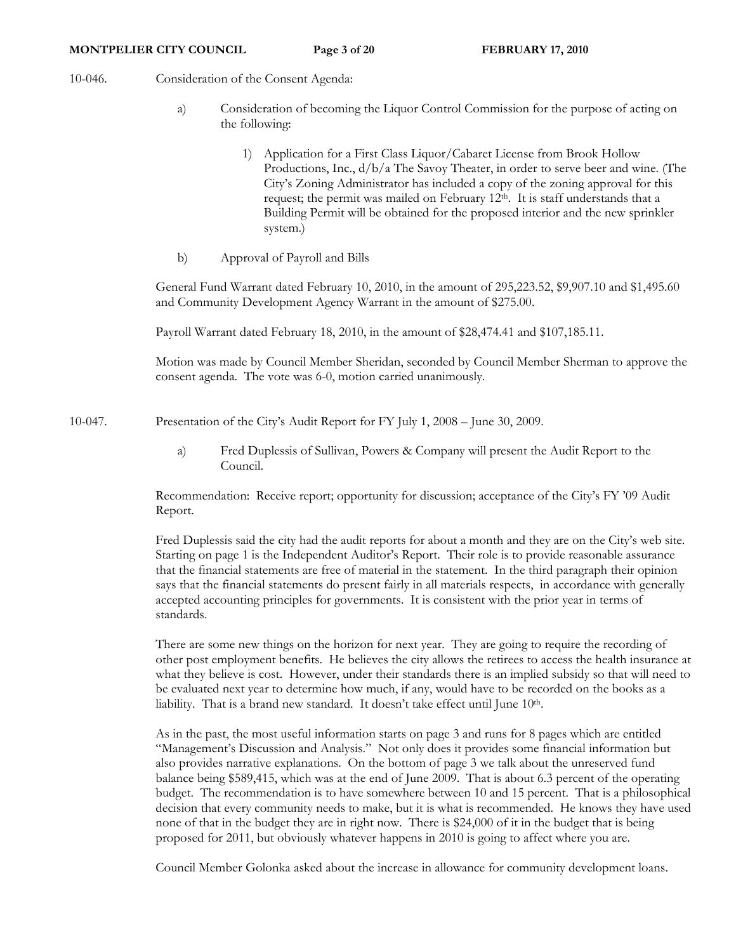- 10-046. Consideration of the Consent Agenda:
	- a) Consideration of becoming the Liquor Control Commission for the purpose of acting on the following:
		- 1) Application for a First Class Liquor/Cabaret License from Brook Hollow Productions, Inc., d/b/a The Savoy Theater, in order to serve beer and wine. (The City's Zoning Administrator has included a copy of the zoning approval for this request; the permit was mailed on February 12th. It is staff understands that a Building Permit will be obtained for the proposed interior and the new sprinkler system.)
	- b) Approval of Payroll and Bills

General Fund Warrant dated February 10, 2010, in the amount of 295,223.52, \$9,907.10 and \$1,495.60 and Community Development Agency Warrant in the amount of \$275.00.

Payroll Warrant dated February 18, 2010, in the amount of \$28,474.41 and \$107,185.11.

Motion was made by Council Member Sheridan, seconded by Council Member Sherman to approve the consent agenda. The vote was 6-0, motion carried unanimously.

10-047. Presentation of the City's Audit Report for FY July 1, 2008 – June 30, 2009.

a) Fred Duplessis of Sullivan, Powers & Company will present the Audit Report to the Council.

Recommendation: Receive report; opportunity for discussion; acceptance of the City's FY '09 Audit Report.

Fred Duplessis said the city had the audit reports for about a month and they are on the City's web site. Starting on page 1 is the Independent Auditor's Report. Their role is to provide reasonable assurance that the financial statements are free of material in the statement. In the third paragraph their opinion says that the financial statements do present fairly in all materials respects, in accordance with generally accepted accounting principles for governments. It is consistent with the prior year in terms of standards.

There are some new things on the horizon for next year. They are going to require the recording of other post employment benefits. He believes the city allows the retirees to access the health insurance at what they believe is cost. However, under their standards there is an implied subsidy so that will need to be evaluated next year to determine how much, if any, would have to be recorded on the books as a liability. That is a brand new standard. It doesn't take effect until June 10<sup>th</sup>.

As in the past, the most useful information starts on page 3 and runs for 8 pages which are entitled "Management's Discussion and Analysis." Not only does it provides some financial information but also provides narrative explanations. On the bottom of page 3 we talk about the unreserved fund balance being \$589,415, which was at the end of June 2009. That is about 6.3 percent of the operating budget. The recommendation is to have somewhere between 10 and 15 percent. That is a philosophical decision that every community needs to make, but it is what is recommended. He knows they have used none of that in the budget they are in right now. There is \$24,000 of it in the budget that is being proposed for 2011, but obviously whatever happens in 2010 is going to affect where you are.

Council Member Golonka asked about the increase in allowance for community development loans.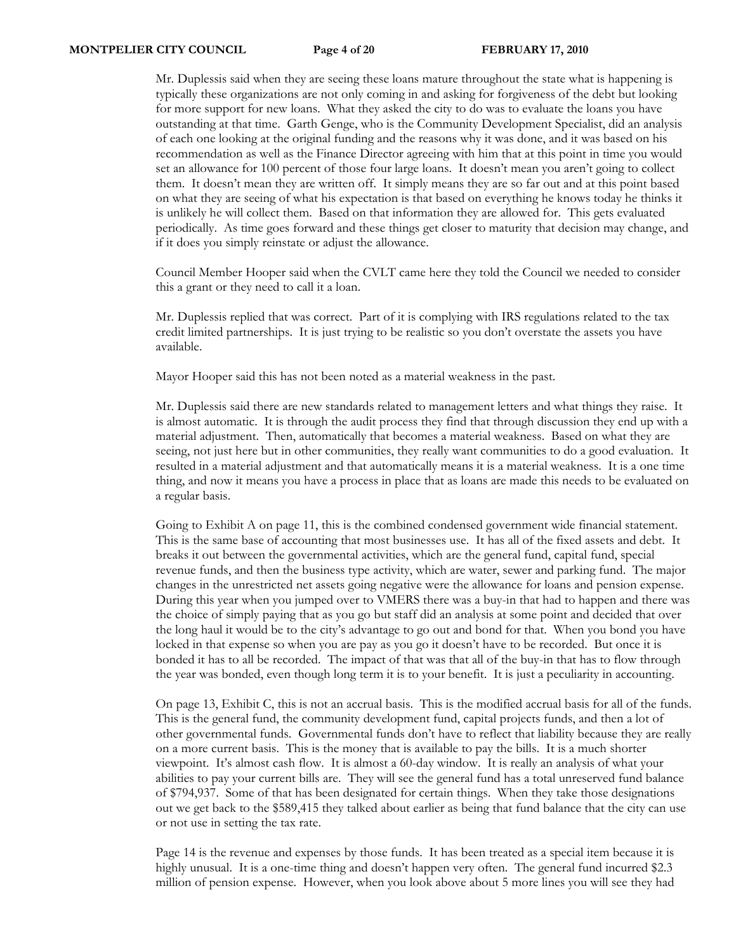Mr. Duplessis said when they are seeing these loans mature throughout the state what is happening is typically these organizations are not only coming in and asking for forgiveness of the debt but looking for more support for new loans. What they asked the city to do was to evaluate the loans you have outstanding at that time. Garth Genge, who is the Community Development Specialist, did an analysis of each one looking at the original funding and the reasons why it was done, and it was based on his recommendation as well as the Finance Director agreeing with him that at this point in time you would set an allowance for 100 percent of those four large loans. It doesn't mean you aren't going to collect them. It doesn't mean they are written off. It simply means they are so far out and at this point based on what they are seeing of what his expectation is that based on everything he knows today he thinks it is unlikely he will collect them. Based on that information they are allowed for. This gets evaluated periodically. As time goes forward and these things get closer to maturity that decision may change, and if it does you simply reinstate or adjust the allowance.

Council Member Hooper said when the CVLT came here they told the Council we needed to consider this a grant or they need to call it a loan.

Mr. Duplessis replied that was correct. Part of it is complying with IRS regulations related to the tax credit limited partnerships. It is just trying to be realistic so you don't overstate the assets you have available.

Mayor Hooper said this has not been noted as a material weakness in the past.

Mr. Duplessis said there are new standards related to management letters and what things they raise. It is almost automatic. It is through the audit process they find that through discussion they end up with a material adjustment. Then, automatically that becomes a material weakness. Based on what they are seeing, not just here but in other communities, they really want communities to do a good evaluation. It resulted in a material adjustment and that automatically means it is a material weakness. It is a one time thing, and now it means you have a process in place that as loans are made this needs to be evaluated on a regular basis.

Going to Exhibit A on page 11, this is the combined condensed government wide financial statement. This is the same base of accounting that most businesses use. It has all of the fixed assets and debt. It breaks it out between the governmental activities, which are the general fund, capital fund, special revenue funds, and then the business type activity, which are water, sewer and parking fund. The major changes in the unrestricted net assets going negative were the allowance for loans and pension expense. During this year when you jumped over to VMERS there was a buy-in that had to happen and there was the choice of simply paying that as you go but staff did an analysis at some point and decided that over the long haul it would be to the city's advantage to go out and bond for that. When you bond you have locked in that expense so when you are pay as you go it doesn't have to be recorded. But once it is bonded it has to all be recorded. The impact of that was that all of the buy-in that has to flow through the year was bonded, even though long term it is to your benefit. It is just a peculiarity in accounting.

On page 13, Exhibit C, this is not an accrual basis. This is the modified accrual basis for all of the funds. This is the general fund, the community development fund, capital projects funds, and then a lot of other governmental funds. Governmental funds don't have to reflect that liability because they are really on a more current basis. This is the money that is available to pay the bills. It is a much shorter viewpoint. It's almost cash flow. It is almost a 60-day window. It is really an analysis of what your abilities to pay your current bills are. They will see the general fund has a total unreserved fund balance of \$794,937. Some of that has been designated for certain things. When they take those designations out we get back to the \$589,415 they talked about earlier as being that fund balance that the city can use or not use in setting the tax rate.

Page 14 is the revenue and expenses by those funds. It has been treated as a special item because it is highly unusual. It is a one-time thing and doesn't happen very often. The general fund incurred \$2.3 million of pension expense. However, when you look above about 5 more lines you will see they had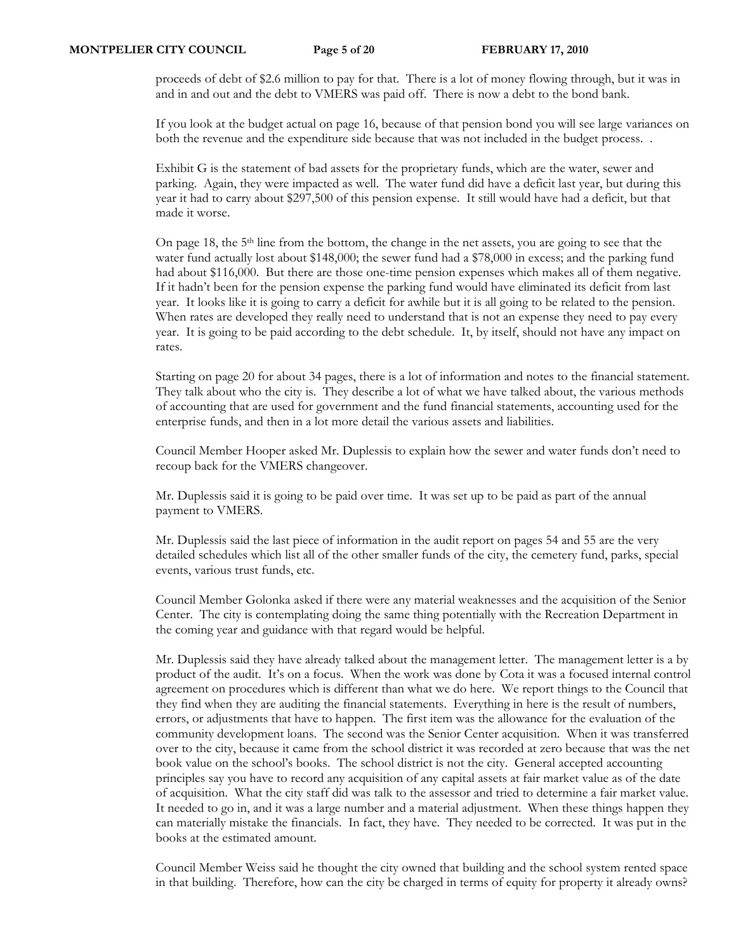proceeds of debt of \$2.6 million to pay for that. There is a lot of money flowing through, but it was in and in and out and the debt to VMERS was paid off. There is now a debt to the bond bank.

If you look at the budget actual on page 16, because of that pension bond you will see large variances on both the revenue and the expenditure side because that was not included in the budget process. .

Exhibit G is the statement of bad assets for the proprietary funds, which are the water, sewer and parking. Again, they were impacted as well. The water fund did have a deficit last year, but during this year it had to carry about \$297,500 of this pension expense. It still would have had a deficit, but that made it worse.

On page 18, the 5<sup>th</sup> line from the bottom, the change in the net assets, you are going to see that the water fund actually lost about \$148,000; the sewer fund had a \$78,000 in excess; and the parking fund had about \$116,000. But there are those one-time pension expenses which makes all of them negative. If it hadn't been for the pension expense the parking fund would have eliminated its deficit from last year. It looks like it is going to carry a deficit for awhile but it is all going to be related to the pension. When rates are developed they really need to understand that is not an expense they need to pay every year. It is going to be paid according to the debt schedule. It, by itself, should not have any impact on rates.

Starting on page 20 for about 34 pages, there is a lot of information and notes to the financial statement. They talk about who the city is. They describe a lot of what we have talked about, the various methods of accounting that are used for government and the fund financial statements, accounting used for the enterprise funds, and then in a lot more detail the various assets and liabilities.

Council Member Hooper asked Mr. Duplessis to explain how the sewer and water funds don't need to recoup back for the VMERS changeover.

Mr. Duplessis said it is going to be paid over time. It was set up to be paid as part of the annual payment to VMERS.

Mr. Duplessis said the last piece of information in the audit report on pages 54 and 55 are the very detailed schedules which list all of the other smaller funds of the city, the cemetery fund, parks, special events, various trust funds, etc.

Council Member Golonka asked if there were any material weaknesses and the acquisition of the Senior Center. The city is contemplating doing the same thing potentially with the Recreation Department in the coming year and guidance with that regard would be helpful.

Mr. Duplessis said they have already talked about the management letter. The management letter is a by product of the audit. It's on a focus. When the work was done by Cota it was a focused internal control agreement on procedures which is different than what we do here. We report things to the Council that they find when they are auditing the financial statements. Everything in here is the result of numbers, errors, or adjustments that have to happen. The first item was the allowance for the evaluation of the community development loans. The second was the Senior Center acquisition. When it was transferred over to the city, because it came from the school district it was recorded at zero because that was the net book value on the school's books. The school district is not the city. General accepted accounting principles say you have to record any acquisition of any capital assets at fair market value as of the date of acquisition. What the city staff did was talk to the assessor and tried to determine a fair market value. It needed to go in, and it was a large number and a material adjustment. When these things happen they can materially mistake the financials. In fact, they have. They needed to be corrected. It was put in the books at the estimated amount.

Council Member Weiss said he thought the city owned that building and the school system rented space in that building. Therefore, how can the city be charged in terms of equity for property it already owns?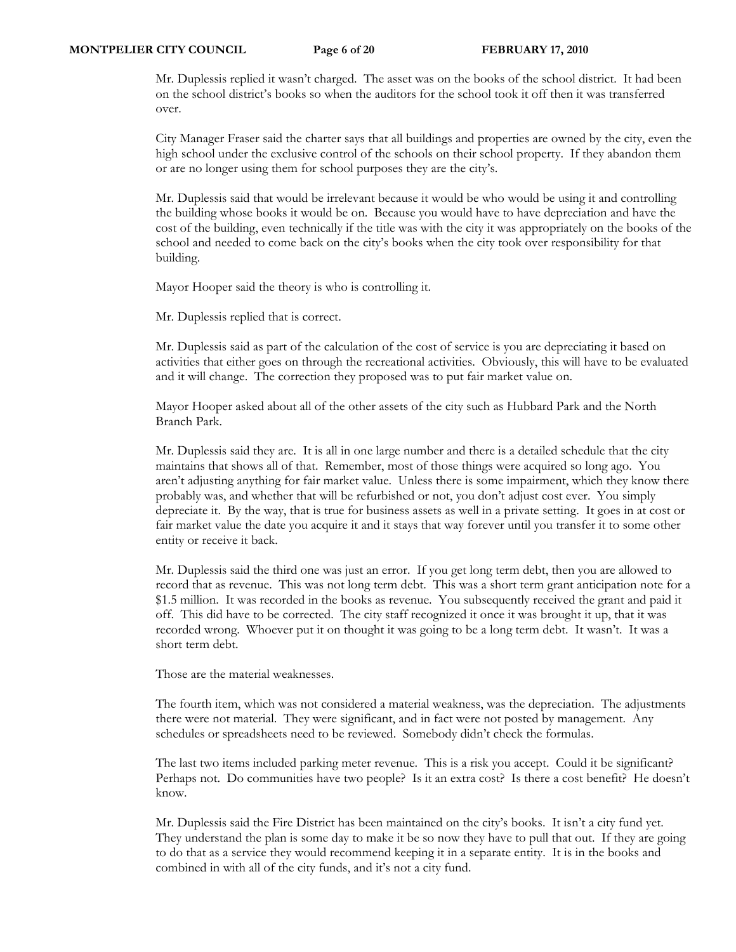Mr. Duplessis replied it wasn't charged. The asset was on the books of the school district. It had been on the school district's books so when the auditors for the school took it off then it was transferred over.

City Manager Fraser said the charter says that all buildings and properties are owned by the city, even the high school under the exclusive control of the schools on their school property. If they abandon them or are no longer using them for school purposes they are the city's.

Mr. Duplessis said that would be irrelevant because it would be who would be using it and controlling the building whose books it would be on. Because you would have to have depreciation and have the cost of the building, even technically if the title was with the city it was appropriately on the books of the school and needed to come back on the city's books when the city took over responsibility for that building.

Mayor Hooper said the theory is who is controlling it.

Mr. Duplessis replied that is correct.

Mr. Duplessis said as part of the calculation of the cost of service is you are depreciating it based on activities that either goes on through the recreational activities. Obviously, this will have to be evaluated and it will change. The correction they proposed was to put fair market value on.

Mayor Hooper asked about all of the other assets of the city such as Hubbard Park and the North Branch Park.

Mr. Duplessis said they are. It is all in one large number and there is a detailed schedule that the city maintains that shows all of that. Remember, most of those things were acquired so long ago. You aren't adjusting anything for fair market value. Unless there is some impairment, which they know there probably was, and whether that will be refurbished or not, you don't adjust cost ever. You simply depreciate it. By the way, that is true for business assets as well in a private setting. It goes in at cost or fair market value the date you acquire it and it stays that way forever until you transfer it to some other entity or receive it back.

Mr. Duplessis said the third one was just an error. If you get long term debt, then you are allowed to record that as revenue. This was not long term debt. This was a short term grant anticipation note for a \$1.5 million. It was recorded in the books as revenue. You subsequently received the grant and paid it off. This did have to be corrected. The city staff recognized it once it was brought it up, that it was recorded wrong. Whoever put it on thought it was going to be a long term debt. It wasn't. It was a short term debt.

Those are the material weaknesses.

The fourth item, which was not considered a material weakness, was the depreciation. The adjustments there were not material. They were significant, and in fact were not posted by management. Any schedules or spreadsheets need to be reviewed. Somebody didn't check the formulas.

The last two items included parking meter revenue. This is a risk you accept. Could it be significant? Perhaps not. Do communities have two people? Is it an extra cost? Is there a cost benefit? He doesn't know.

Mr. Duplessis said the Fire District has been maintained on the city's books. It isn't a city fund yet. They understand the plan is some day to make it be so now they have to pull that out. If they are going to do that as a service they would recommend keeping it in a separate entity. It is in the books and combined in with all of the city funds, and it's not a city fund.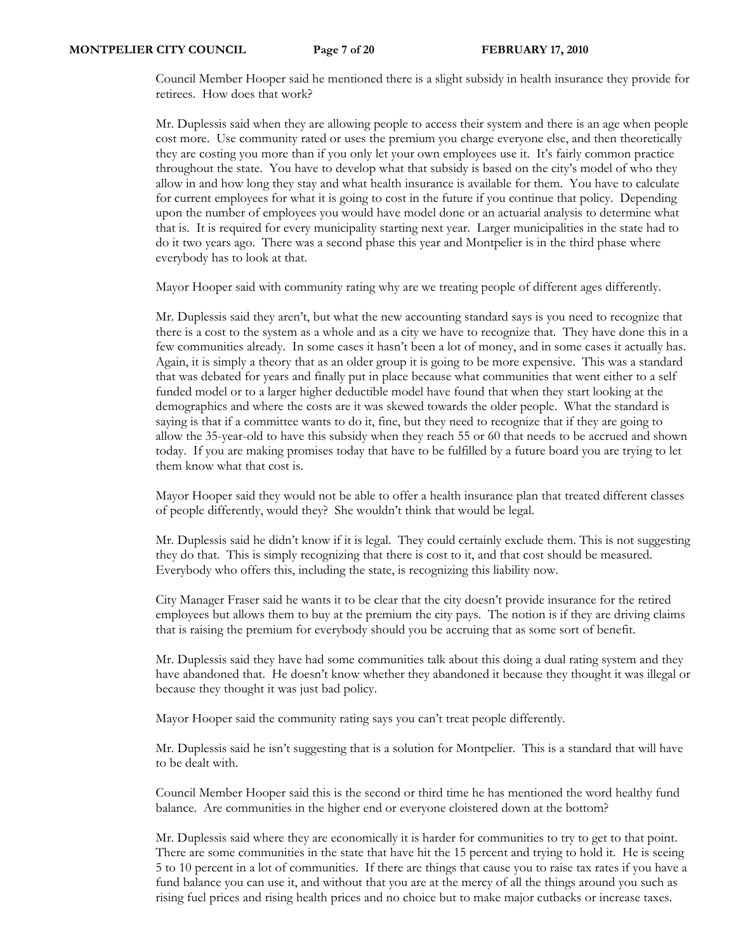Council Member Hooper said he mentioned there is a slight subsidy in health insurance they provide for retirees. How does that work?

Mr. Duplessis said when they are allowing people to access their system and there is an age when people cost more. Use community rated or uses the premium you charge everyone else, and then theoretically they are costing you more than if you only let your own employees use it. It's fairly common practice throughout the state. You have to develop what that subsidy is based on the city's model of who they allow in and how long they stay and what health insurance is available for them. You have to calculate for current employees for what it is going to cost in the future if you continue that policy. Depending upon the number of employees you would have model done or an actuarial analysis to determine what that is. It is required for every municipality starting next year. Larger municipalities in the state had to do it two years ago. There was a second phase this year and Montpelier is in the third phase where everybody has to look at that.

Mayor Hooper said with community rating why are we treating people of different ages differently.

Mr. Duplessis said they aren't, but what the new accounting standard says is you need to recognize that there is a cost to the system as a whole and as a city we have to recognize that. They have done this in a few communities already. In some cases it hasn't been a lot of money, and in some cases it actually has. Again, it is simply a theory that as an older group it is going to be more expensive. This was a standard that was debated for years and finally put in place because what communities that went either to a self funded model or to a larger higher deductible model have found that when they start looking at the demographics and where the costs are it was skewed towards the older people. What the standard is saying is that if a committee wants to do it, fine, but they need to recognize that if they are going to allow the 35-year-old to have this subsidy when they reach 55 or 60 that needs to be accrued and shown today. If you are making promises today that have to be fulfilled by a future board you are trying to let them know what that cost is.

Mayor Hooper said they would not be able to offer a health insurance plan that treated different classes of people differently, would they? She wouldn't think that would be legal.

Mr. Duplessis said he didn't know if it is legal. They could certainly exclude them. This is not suggesting they do that. This is simply recognizing that there is cost to it, and that cost should be measured. Everybody who offers this, including the state, is recognizing this liability now.

City Manager Fraser said he wants it to be clear that the city doesn't provide insurance for the retired employees but allows them to buy at the premium the city pays. The notion is if they are driving claims that is raising the premium for everybody should you be accruing that as some sort of benefit.

Mr. Duplessis said they have had some communities talk about this doing a dual rating system and they have abandoned that. He doesn't know whether they abandoned it because they thought it was illegal or because they thought it was just bad policy.

Mayor Hooper said the community rating says you can't treat people differently.

Mr. Duplessis said he isn't suggesting that is a solution for Montpelier. This is a standard that will have to be dealt with.

Council Member Hooper said this is the second or third time he has mentioned the word healthy fund balance. Are communities in the higher end or everyone cloistered down at the bottom?

Mr. Duplessis said where they are economically it is harder for communities to try to get to that point. There are some communities in the state that have hit the 15 percent and trying to hold it. He is seeing 5 to 10 percent in a lot of communities. If there are things that cause you to raise tax rates if you have a fund balance you can use it, and without that you are at the mercy of all the things around you such as rising fuel prices and rising health prices and no choice but to make major cutbacks or increase taxes.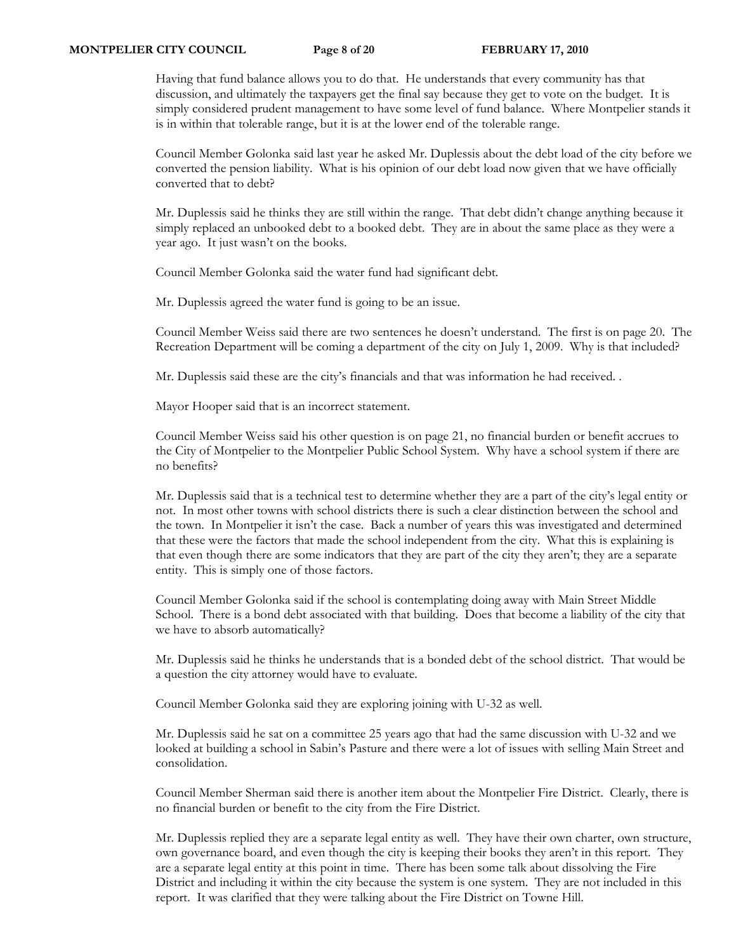Having that fund balance allows you to do that. He understands that every community has that discussion, and ultimately the taxpayers get the final say because they get to vote on the budget. It is simply considered prudent management to have some level of fund balance. Where Montpelier stands it is in within that tolerable range, but it is at the lower end of the tolerable range.

Council Member Golonka said last year he asked Mr. Duplessis about the debt load of the city before we converted the pension liability. What is his opinion of our debt load now given that we have officially converted that to debt?

Mr. Duplessis said he thinks they are still within the range. That debt didn't change anything because it simply replaced an unbooked debt to a booked debt. They are in about the same place as they were a year ago. It just wasn't on the books.

Council Member Golonka said the water fund had significant debt.

Mr. Duplessis agreed the water fund is going to be an issue.

Council Member Weiss said there are two sentences he doesn't understand. The first is on page 20. The Recreation Department will be coming a department of the city on July 1, 2009. Why is that included?

Mr. Duplessis said these are the city's financials and that was information he had received. .

Mayor Hooper said that is an incorrect statement.

Council Member Weiss said his other question is on page 21, no financial burden or benefit accrues to the City of Montpelier to the Montpelier Public School System. Why have a school system if there are no benefits?

Mr. Duplessis said that is a technical test to determine whether they are a part of the city's legal entity or not. In most other towns with school districts there is such a clear distinction between the school and the town. In Montpelier it isn't the case. Back a number of years this was investigated and determined that these were the factors that made the school independent from the city. What this is explaining is that even though there are some indicators that they are part of the city they aren't; they are a separate entity. This is simply one of those factors.

Council Member Golonka said if the school is contemplating doing away with Main Street Middle School. There is a bond debt associated with that building. Does that become a liability of the city that we have to absorb automatically?

Mr. Duplessis said he thinks he understands that is a bonded debt of the school district. That would be a question the city attorney would have to evaluate.

Council Member Golonka said they are exploring joining with U-32 as well.

Mr. Duplessis said he sat on a committee 25 years ago that had the same discussion with U-32 and we looked at building a school in Sabin's Pasture and there were a lot of issues with selling Main Street and consolidation.

Council Member Sherman said there is another item about the Montpelier Fire District. Clearly, there is no financial burden or benefit to the city from the Fire District.

Mr. Duplessis replied they are a separate legal entity as well. They have their own charter, own structure, own governance board, and even though the city is keeping their books they aren't in this report. They are a separate legal entity at this point in time. There has been some talk about dissolving the Fire District and including it within the city because the system is one system. They are not included in this report. It was clarified that they were talking about the Fire District on Towne Hill.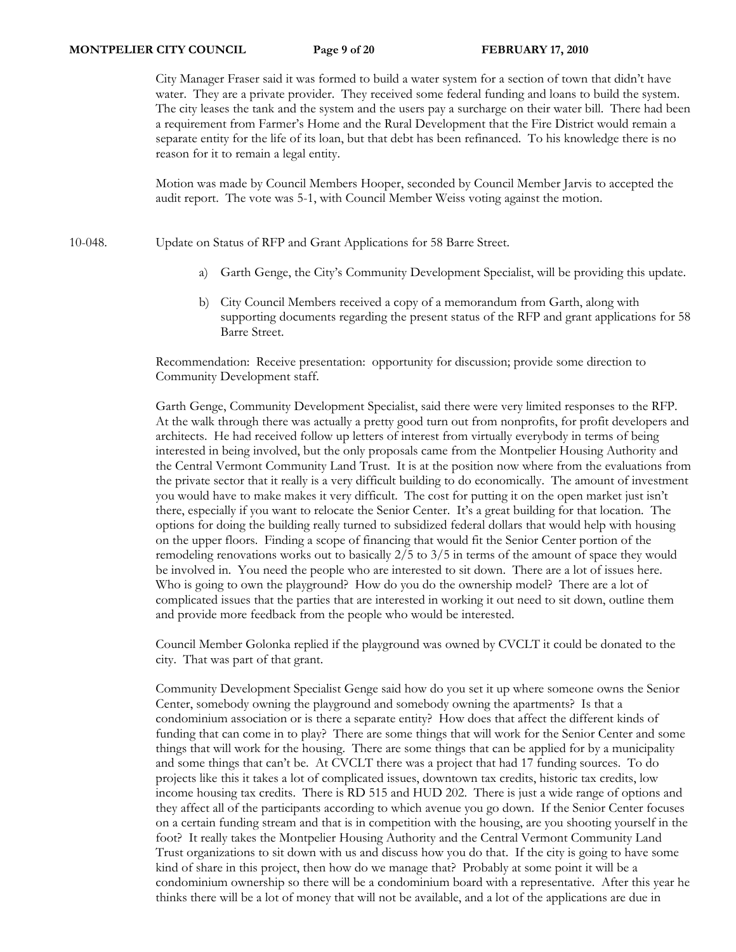City Manager Fraser said it was formed to build a water system for a section of town that didn't have water. They are a private provider. They received some federal funding and loans to build the system. The city leases the tank and the system and the users pay a surcharge on their water bill. There had been a requirement from Farmer's Home and the Rural Development that the Fire District would remain a separate entity for the life of its loan, but that debt has been refinanced. To his knowledge there is no reason for it to remain a legal entity.

Motion was made by Council Members Hooper, seconded by Council Member Jarvis to accepted the audit report. The vote was 5-1, with Council Member Weiss voting against the motion.

10-048. Update on Status of RFP and Grant Applications for 58 Barre Street.

- a) Garth Genge, the City's Community Development Specialist, will be providing this update.
- b) City Council Members received a copy of a memorandum from Garth, along with supporting documents regarding the present status of the RFP and grant applications for 58 Barre Street.

Recommendation: Receive presentation: opportunity for discussion; provide some direction to Community Development staff.

Garth Genge, Community Development Specialist, said there were very limited responses to the RFP. At the walk through there was actually a pretty good turn out from nonprofits, for profit developers and architects. He had received follow up letters of interest from virtually everybody in terms of being interested in being involved, but the only proposals came from the Montpelier Housing Authority and the Central Vermont Community Land Trust. It is at the position now where from the evaluations from the private sector that it really is a very difficult building to do economically. The amount of investment you would have to make makes it very difficult. The cost for putting it on the open market just isn't there, especially if you want to relocate the Senior Center. It's a great building for that location. The options for doing the building really turned to subsidized federal dollars that would help with housing on the upper floors. Finding a scope of financing that would fit the Senior Center portion of the remodeling renovations works out to basically 2/5 to 3/5 in terms of the amount of space they would be involved in. You need the people who are interested to sit down. There are a lot of issues here. Who is going to own the playground? How do you do the ownership model? There are a lot of complicated issues that the parties that are interested in working it out need to sit down, outline them and provide more feedback from the people who would be interested.

Council Member Golonka replied if the playground was owned by CVCLT it could be donated to the city. That was part of that grant.

Community Development Specialist Genge said how do you set it up where someone owns the Senior Center, somebody owning the playground and somebody owning the apartments? Is that a condominium association or is there a separate entity? How does that affect the different kinds of funding that can come in to play? There are some things that will work for the Senior Center and some things that will work for the housing. There are some things that can be applied for by a municipality and some things that can't be. At CVCLT there was a project that had 17 funding sources. To do projects like this it takes a lot of complicated issues, downtown tax credits, historic tax credits, low income housing tax credits. There is RD 515 and HUD 202. There is just a wide range of options and they affect all of the participants according to which avenue you go down. If the Senior Center focuses on a certain funding stream and that is in competition with the housing, are you shooting yourself in the foot? It really takes the Montpelier Housing Authority and the Central Vermont Community Land Trust organizations to sit down with us and discuss how you do that. If the city is going to have some kind of share in this project, then how do we manage that? Probably at some point it will be a condominium ownership so there will be a condominium board with a representative. After this year he thinks there will be a lot of money that will not be available, and a lot of the applications are due in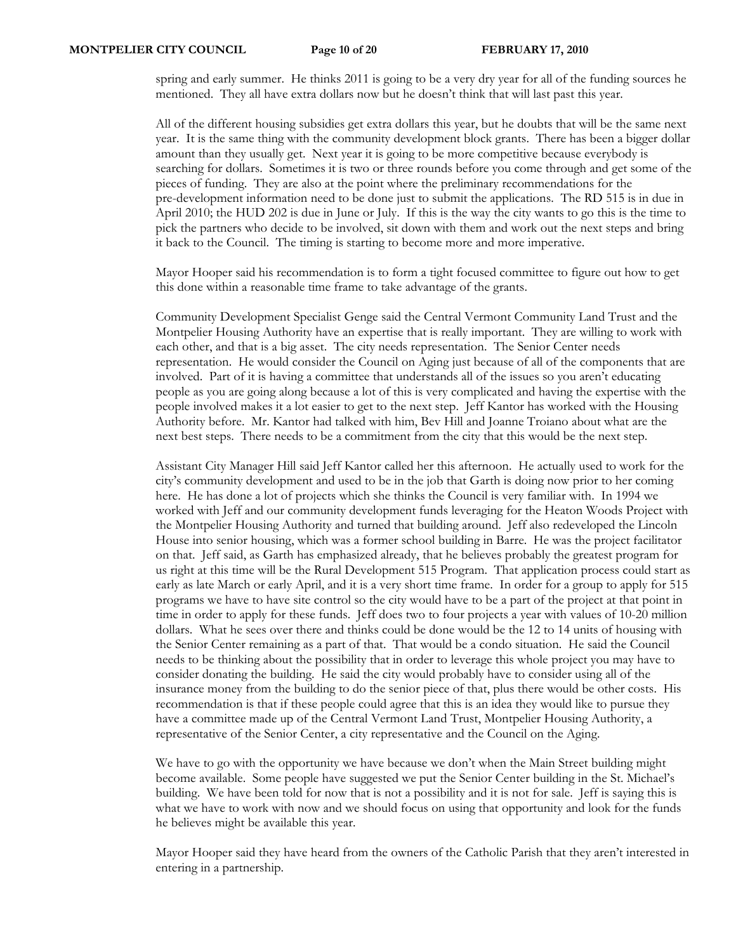spring and early summer. He thinks 2011 is going to be a very dry year for all of the funding sources he mentioned. They all have extra dollars now but he doesn't think that will last past this year.

All of the different housing subsidies get extra dollars this year, but he doubts that will be the same next year. It is the same thing with the community development block grants. There has been a bigger dollar amount than they usually get. Next year it is going to be more competitive because everybody is searching for dollars. Sometimes it is two or three rounds before you come through and get some of the pieces of funding. They are also at the point where the preliminary recommendations for the pre-development information need to be done just to submit the applications. The RD 515 is in due in April 2010; the HUD 202 is due in June or July. If this is the way the city wants to go this is the time to pick the partners who decide to be involved, sit down with them and work out the next steps and bring it back to the Council. The timing is starting to become more and more imperative.

Mayor Hooper said his recommendation is to form a tight focused committee to figure out how to get this done within a reasonable time frame to take advantage of the grants.

Community Development Specialist Genge said the Central Vermont Community Land Trust and the Montpelier Housing Authority have an expertise that is really important. They are willing to work with each other, and that is a big asset. The city needs representation. The Senior Center needs representation. He would consider the Council on Aging just because of all of the components that are involved. Part of it is having a committee that understands all of the issues so you aren't educating people as you are going along because a lot of this is very complicated and having the expertise with the people involved makes it a lot easier to get to the next step. Jeff Kantor has worked with the Housing Authority before. Mr. Kantor had talked with him, Bev Hill and Joanne Troiano about what are the next best steps. There needs to be a commitment from the city that this would be the next step.

Assistant City Manager Hill said Jeff Kantor called her this afternoon. He actually used to work for the city's community development and used to be in the job that Garth is doing now prior to her coming here. He has done a lot of projects which she thinks the Council is very familiar with. In 1994 we worked with Jeff and our community development funds leveraging for the Heaton Woods Project with the Montpelier Housing Authority and turned that building around. Jeff also redeveloped the Lincoln House into senior housing, which was a former school building in Barre. He was the project facilitator on that. Jeff said, as Garth has emphasized already, that he believes probably the greatest program for us right at this time will be the Rural Development 515 Program. That application process could start as early as late March or early April, and it is a very short time frame. In order for a group to apply for 515 programs we have to have site control so the city would have to be a part of the project at that point in time in order to apply for these funds. Jeff does two to four projects a year with values of 10-20 million dollars. What he sees over there and thinks could be done would be the 12 to 14 units of housing with the Senior Center remaining as a part of that. That would be a condo situation. He said the Council needs to be thinking about the possibility that in order to leverage this whole project you may have to consider donating the building. He said the city would probably have to consider using all of the insurance money from the building to do the senior piece of that, plus there would be other costs. His recommendation is that if these people could agree that this is an idea they would like to pursue they have a committee made up of the Central Vermont Land Trust, Montpelier Housing Authority, a representative of the Senior Center, a city representative and the Council on the Aging.

We have to go with the opportunity we have because we don't when the Main Street building might become available. Some people have suggested we put the Senior Center building in the St. Michael's building. We have been told for now that is not a possibility and it is not for sale. Jeff is saying this is what we have to work with now and we should focus on using that opportunity and look for the funds he believes might be available this year.

Mayor Hooper said they have heard from the owners of the Catholic Parish that they aren't interested in entering in a partnership.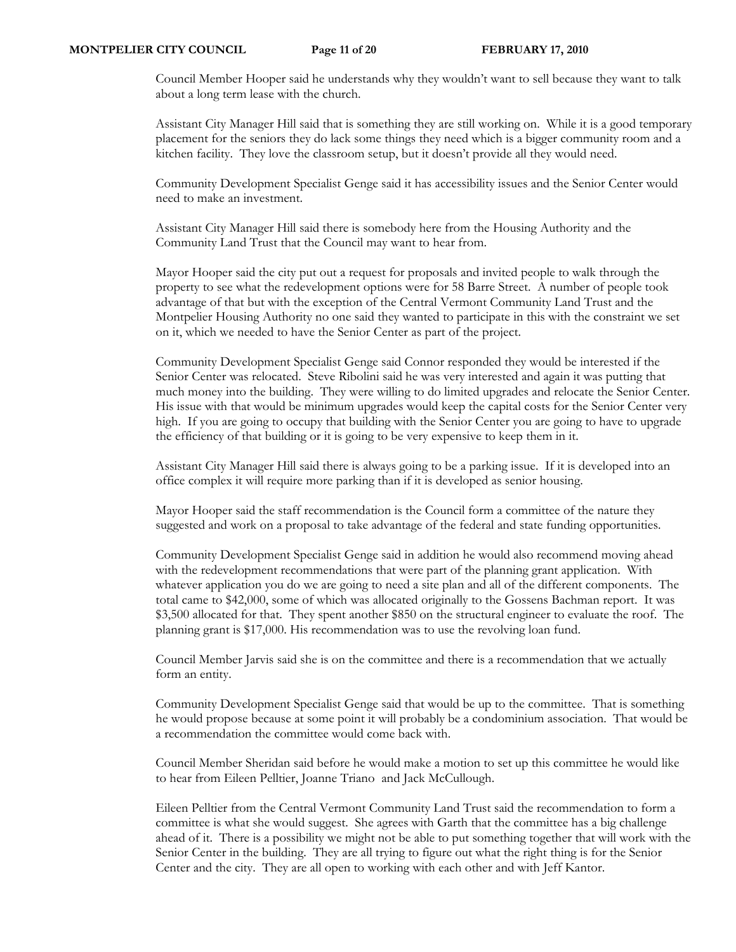Council Member Hooper said he understands why they wouldn't want to sell because they want to talk about a long term lease with the church.

Assistant City Manager Hill said that is something they are still working on. While it is a good temporary placement for the seniors they do lack some things they need which is a bigger community room and a kitchen facility. They love the classroom setup, but it doesn't provide all they would need.

Community Development Specialist Genge said it has accessibility issues and the Senior Center would need to make an investment.

Assistant City Manager Hill said there is somebody here from the Housing Authority and the Community Land Trust that the Council may want to hear from.

Mayor Hooper said the city put out a request for proposals and invited people to walk through the property to see what the redevelopment options were for 58 Barre Street. A number of people took advantage of that but with the exception of the Central Vermont Community Land Trust and the Montpelier Housing Authority no one said they wanted to participate in this with the constraint we set on it, which we needed to have the Senior Center as part of the project.

Community Development Specialist Genge said Connor responded they would be interested if the Senior Center was relocated. Steve Ribolini said he was very interested and again it was putting that much money into the building. They were willing to do limited upgrades and relocate the Senior Center. His issue with that would be minimum upgrades would keep the capital costs for the Senior Center very high. If you are going to occupy that building with the Senior Center you are going to have to upgrade the efficiency of that building or it is going to be very expensive to keep them in it.

Assistant City Manager Hill said there is always going to be a parking issue. If it is developed into an office complex it will require more parking than if it is developed as senior housing.

Mayor Hooper said the staff recommendation is the Council form a committee of the nature they suggested and work on a proposal to take advantage of the federal and state funding opportunities.

Community Development Specialist Genge said in addition he would also recommend moving ahead with the redevelopment recommendations that were part of the planning grant application. With whatever application you do we are going to need a site plan and all of the different components. The total came to \$42,000, some of which was allocated originally to the Gossens Bachman report. It was \$3,500 allocated for that. They spent another \$850 on the structural engineer to evaluate the roof. The planning grant is \$17,000. His recommendation was to use the revolving loan fund.

Council Member Jarvis said she is on the committee and there is a recommendation that we actually form an entity.

Community Development Specialist Genge said that would be up to the committee. That is something he would propose because at some point it will probably be a condominium association. That would be a recommendation the committee would come back with.

Council Member Sheridan said before he would make a motion to set up this committee he would like to hear from Eileen Pelltier, Joanne Triano and Jack McCullough.

Eileen Pelltier from the Central Vermont Community Land Trust said the recommendation to form a committee is what she would suggest. She agrees with Garth that the committee has a big challenge ahead of it. There is a possibility we might not be able to put something together that will work with the Senior Center in the building. They are all trying to figure out what the right thing is for the Senior Center and the city. They are all open to working with each other and with Jeff Kantor.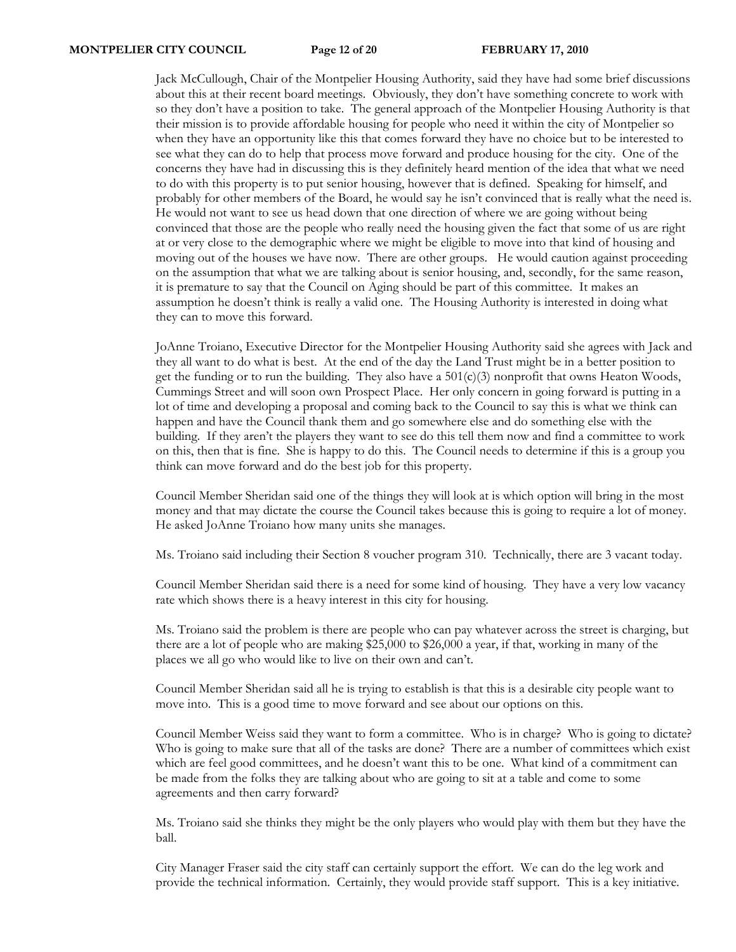Jack McCullough, Chair of the Montpelier Housing Authority, said they have had some brief discussions about this at their recent board meetings. Obviously, they don't have something concrete to work with so they don't have a position to take. The general approach of the Montpelier Housing Authority is that their mission is to provide affordable housing for people who need it within the city of Montpelier so when they have an opportunity like this that comes forward they have no choice but to be interested to see what they can do to help that process move forward and produce housing for the city. One of the concerns they have had in discussing this is they definitely heard mention of the idea that what we need to do with this property is to put senior housing, however that is defined. Speaking for himself, and probably for other members of the Board, he would say he isn't convinced that is really what the need is. He would not want to see us head down that one direction of where we are going without being convinced that those are the people who really need the housing given the fact that some of us are right at or very close to the demographic where we might be eligible to move into that kind of housing and moving out of the houses we have now. There are other groups. He would caution against proceeding on the assumption that what we are talking about is senior housing, and, secondly, for the same reason, it is premature to say that the Council on Aging should be part of this committee. It makes an assumption he doesn't think is really a valid one. The Housing Authority is interested in doing what they can to move this forward.

JoAnne Troiano, Executive Director for the Montpelier Housing Authority said she agrees with Jack and they all want to do what is best. At the end of the day the Land Trust might be in a better position to get the funding or to run the building. They also have a  $501(c)(3)$  nonprofit that owns Heaton Woods, Cummings Street and will soon own Prospect Place. Her only concern in going forward is putting in a lot of time and developing a proposal and coming back to the Council to say this is what we think can happen and have the Council thank them and go somewhere else and do something else with the building. If they aren't the players they want to see do this tell them now and find a committee to work on this, then that is fine. She is happy to do this. The Council needs to determine if this is a group you think can move forward and do the best job for this property.

Council Member Sheridan said one of the things they will look at is which option will bring in the most money and that may dictate the course the Council takes because this is going to require a lot of money. He asked JoAnne Troiano how many units she manages.

Ms. Troiano said including their Section 8 voucher program 310. Technically, there are 3 vacant today.

Council Member Sheridan said there is a need for some kind of housing. They have a very low vacancy rate which shows there is a heavy interest in this city for housing.

Ms. Troiano said the problem is there are people who can pay whatever across the street is charging, but there are a lot of people who are making \$25,000 to \$26,000 a year, if that, working in many of the places we all go who would like to live on their own and can't.

Council Member Sheridan said all he is trying to establish is that this is a desirable city people want to move into. This is a good time to move forward and see about our options on this.

Council Member Weiss said they want to form a committee. Who is in charge? Who is going to dictate? Who is going to make sure that all of the tasks are done? There are a number of committees which exist which are feel good committees, and he doesn't want this to be one. What kind of a commitment can be made from the folks they are talking about who are going to sit at a table and come to some agreements and then carry forward?

Ms. Troiano said she thinks they might be the only players who would play with them but they have the ball.

City Manager Fraser said the city staff can certainly support the effort. We can do the leg work and provide the technical information. Certainly, they would provide staff support. This is a key initiative.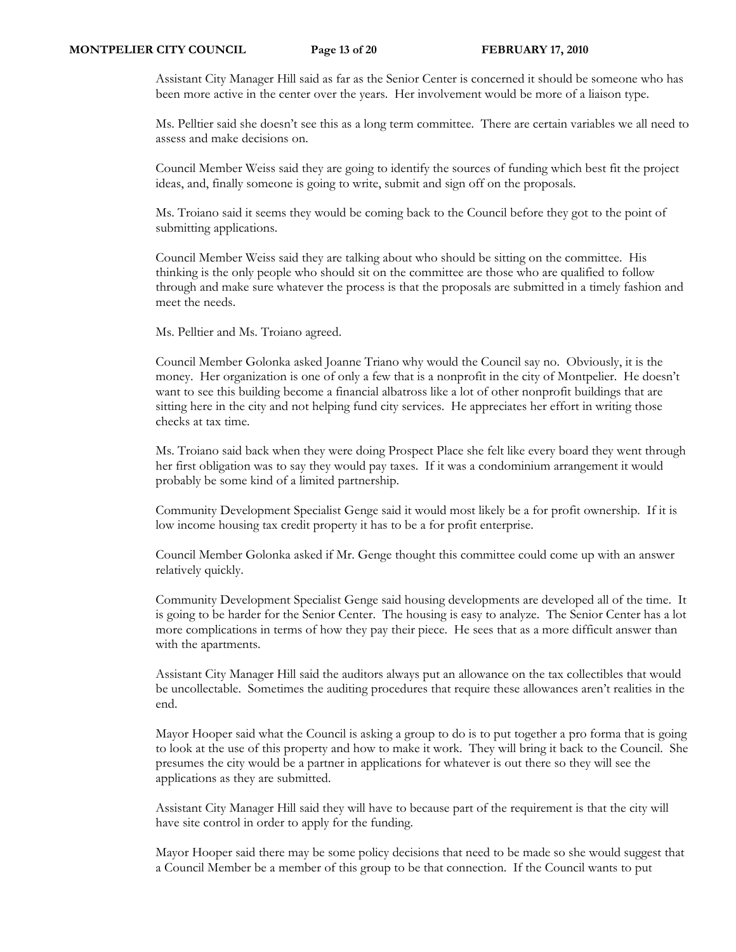Assistant City Manager Hill said as far as the Senior Center is concerned it should be someone who has been more active in the center over the years. Her involvement would be more of a liaison type.

Ms. Pelltier said she doesn't see this as a long term committee. There are certain variables we all need to assess and make decisions on.

Council Member Weiss said they are going to identify the sources of funding which best fit the project ideas, and, finally someone is going to write, submit and sign off on the proposals.

Ms. Troiano said it seems they would be coming back to the Council before they got to the point of submitting applications.

Council Member Weiss said they are talking about who should be sitting on the committee. His thinking is the only people who should sit on the committee are those who are qualified to follow through and make sure whatever the process is that the proposals are submitted in a timely fashion and meet the needs.

Ms. Pelltier and Ms. Troiano agreed.

Council Member Golonka asked Joanne Triano why would the Council say no. Obviously, it is the money. Her organization is one of only a few that is a nonprofit in the city of Montpelier. He doesn't want to see this building become a financial albatross like a lot of other nonprofit buildings that are sitting here in the city and not helping fund city services. He appreciates her effort in writing those checks at tax time.

Ms. Troiano said back when they were doing Prospect Place she felt like every board they went through her first obligation was to say they would pay taxes. If it was a condominium arrangement it would probably be some kind of a limited partnership.

Community Development Specialist Genge said it would most likely be a for profit ownership. If it is low income housing tax credit property it has to be a for profit enterprise.

Council Member Golonka asked if Mr. Genge thought this committee could come up with an answer relatively quickly.

Community Development Specialist Genge said housing developments are developed all of the time. It is going to be harder for the Senior Center. The housing is easy to analyze. The Senior Center has a lot more complications in terms of how they pay their piece. He sees that as a more difficult answer than with the apartments.

Assistant City Manager Hill said the auditors always put an allowance on the tax collectibles that would be uncollectable. Sometimes the auditing procedures that require these allowances aren't realities in the end.

Mayor Hooper said what the Council is asking a group to do is to put together a pro forma that is going to look at the use of this property and how to make it work. They will bring it back to the Council. She presumes the city would be a partner in applications for whatever is out there so they will see the applications as they are submitted.

Assistant City Manager Hill said they will have to because part of the requirement is that the city will have site control in order to apply for the funding.

Mayor Hooper said there may be some policy decisions that need to be made so she would suggest that a Council Member be a member of this group to be that connection. If the Council wants to put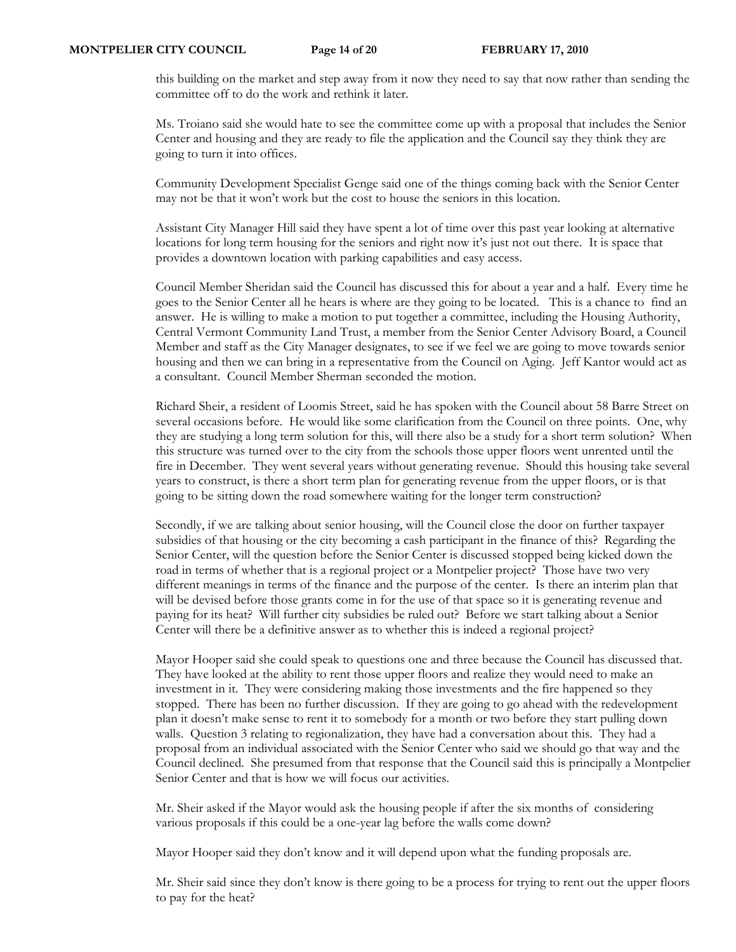this building on the market and step away from it now they need to say that now rather than sending the committee off to do the work and rethink it later.

Ms. Troiano said she would hate to see the committee come up with a proposal that includes the Senior Center and housing and they are ready to file the application and the Council say they think they are going to turn it into offices.

Community Development Specialist Genge said one of the things coming back with the Senior Center may not be that it won't work but the cost to house the seniors in this location.

Assistant City Manager Hill said they have spent a lot of time over this past year looking at alternative locations for long term housing for the seniors and right now it's just not out there. It is space that provides a downtown location with parking capabilities and easy access.

Council Member Sheridan said the Council has discussed this for about a year and a half. Every time he goes to the Senior Center all he hears is where are they going to be located. This is a chance to find an answer. He is willing to make a motion to put together a committee, including the Housing Authority, Central Vermont Community Land Trust, a member from the Senior Center Advisory Board, a Council Member and staff as the City Manager designates, to see if we feel we are going to move towards senior housing and then we can bring in a representative from the Council on Aging. Jeff Kantor would act as a consultant. Council Member Sherman seconded the motion.

Richard Sheir, a resident of Loomis Street, said he has spoken with the Council about 58 Barre Street on several occasions before. He would like some clarification from the Council on three points. One, why they are studying a long term solution for this, will there also be a study for a short term solution? When this structure was turned over to the city from the schools those upper floors went unrented until the fire in December. They went several years without generating revenue. Should this housing take several years to construct, is there a short term plan for generating revenue from the upper floors, or is that going to be sitting down the road somewhere waiting for the longer term construction?

Secondly, if we are talking about senior housing, will the Council close the door on further taxpayer subsidies of that housing or the city becoming a cash participant in the finance of this? Regarding the Senior Center, will the question before the Senior Center is discussed stopped being kicked down the road in terms of whether that is a regional project or a Montpelier project? Those have two very different meanings in terms of the finance and the purpose of the center. Is there an interim plan that will be devised before those grants come in for the use of that space so it is generating revenue and paying for its heat? Will further city subsidies be ruled out? Before we start talking about a Senior Center will there be a definitive answer as to whether this is indeed a regional project?

Mayor Hooper said she could speak to questions one and three because the Council has discussed that. They have looked at the ability to rent those upper floors and realize they would need to make an investment in it. They were considering making those investments and the fire happened so they stopped. There has been no further discussion. If they are going to go ahead with the redevelopment plan it doesn't make sense to rent it to somebody for a month or two before they start pulling down walls. Question 3 relating to regionalization, they have had a conversation about this. They had a proposal from an individual associated with the Senior Center who said we should go that way and the Council declined. She presumed from that response that the Council said this is principally a Montpelier Senior Center and that is how we will focus our activities.

Mr. Sheir asked if the Mayor would ask the housing people if after the six months of considering various proposals if this could be a one-year lag before the walls come down?

Mayor Hooper said they don't know and it will depend upon what the funding proposals are.

Mr. Sheir said since they don't know is there going to be a process for trying to rent out the upper floors to pay for the heat?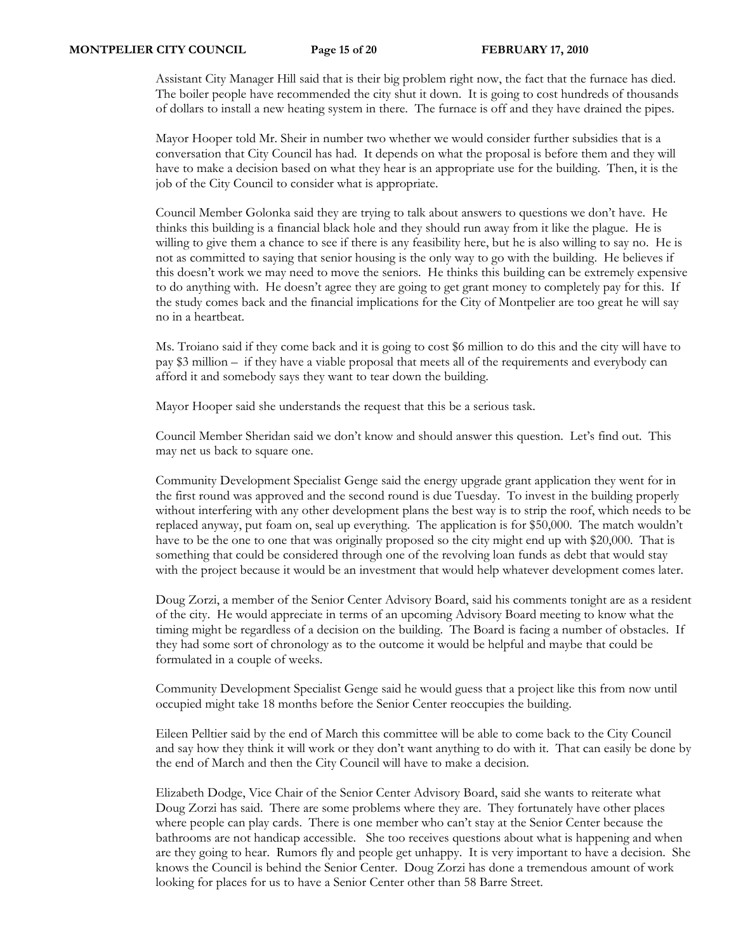Assistant City Manager Hill said that is their big problem right now, the fact that the furnace has died. The boiler people have recommended the city shut it down. It is going to cost hundreds of thousands of dollars to install a new heating system in there. The furnace is off and they have drained the pipes.

Mayor Hooper told Mr. Sheir in number two whether we would consider further subsidies that is a conversation that City Council has had. It depends on what the proposal is before them and they will have to make a decision based on what they hear is an appropriate use for the building. Then, it is the job of the City Council to consider what is appropriate.

Council Member Golonka said they are trying to talk about answers to questions we don't have. He thinks this building is a financial black hole and they should run away from it like the plague. He is willing to give them a chance to see if there is any feasibility here, but he is also willing to say no. He is not as committed to saying that senior housing is the only way to go with the building. He believes if this doesn't work we may need to move the seniors. He thinks this building can be extremely expensive to do anything with. He doesn't agree they are going to get grant money to completely pay for this. If the study comes back and the financial implications for the City of Montpelier are too great he will say no in a heartbeat.

Ms. Troiano said if they come back and it is going to cost \$6 million to do this and the city will have to pay \$3 million – if they have a viable proposal that meets all of the requirements and everybody can afford it and somebody says they want to tear down the building.

Mayor Hooper said she understands the request that this be a serious task.

Council Member Sheridan said we don't know and should answer this question. Let's find out. This may net us back to square one.

Community Development Specialist Genge said the energy upgrade grant application they went for in the first round was approved and the second round is due Tuesday. To invest in the building properly without interfering with any other development plans the best way is to strip the roof, which needs to be replaced anyway, put foam on, seal up everything. The application is for \$50,000. The match wouldn't have to be the one to one that was originally proposed so the city might end up with \$20,000. That is something that could be considered through one of the revolving loan funds as debt that would stay with the project because it would be an investment that would help whatever development comes later.

Doug Zorzi, a member of the Senior Center Advisory Board, said his comments tonight are as a resident of the city. He would appreciate in terms of an upcoming Advisory Board meeting to know what the timing might be regardless of a decision on the building. The Board is facing a number of obstacles. If they had some sort of chronology as to the outcome it would be helpful and maybe that could be formulated in a couple of weeks.

Community Development Specialist Genge said he would guess that a project like this from now until occupied might take 18 months before the Senior Center reoccupies the building.

Eileen Pelltier said by the end of March this committee will be able to come back to the City Council and say how they think it will work or they don't want anything to do with it. That can easily be done by the end of March and then the City Council will have to make a decision.

Elizabeth Dodge, Vice Chair of the Senior Center Advisory Board, said she wants to reiterate what Doug Zorzi has said. There are some problems where they are. They fortunately have other places where people can play cards. There is one member who can't stay at the Senior Center because the bathrooms are not handicap accessible. She too receives questions about what is happening and when are they going to hear. Rumors fly and people get unhappy. It is very important to have a decision. She knows the Council is behind the Senior Center. Doug Zorzi has done a tremendous amount of work looking for places for us to have a Senior Center other than 58 Barre Street.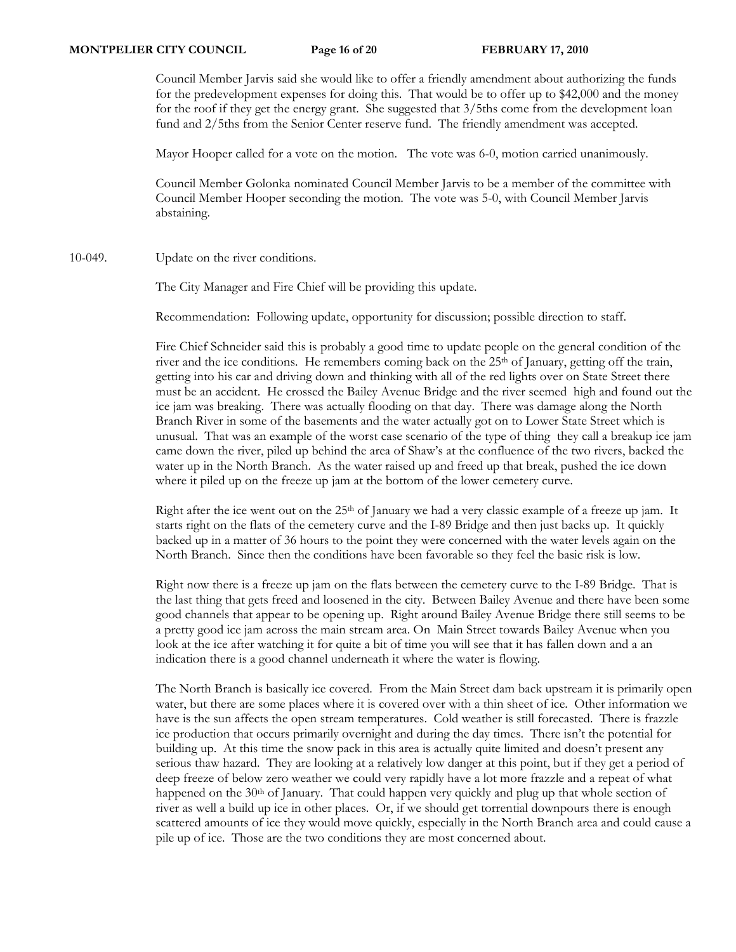Council Member Jarvis said she would like to offer a friendly amendment about authorizing the funds for the predevelopment expenses for doing this. That would be to offer up to \$42,000 and the money for the roof if they get the energy grant. She suggested that 3/5ths come from the development loan fund and 2/5ths from the Senior Center reserve fund. The friendly amendment was accepted.

Mayor Hooper called for a vote on the motion. The vote was 6-0, motion carried unanimously.

Council Member Golonka nominated Council Member Jarvis to be a member of the committee with Council Member Hooper seconding the motion. The vote was 5-0, with Council Member Jarvis abstaining.

10-049. Update on the river conditions.

The City Manager and Fire Chief will be providing this update.

Recommendation: Following update, opportunity for discussion; possible direction to staff.

Fire Chief Schneider said this is probably a good time to update people on the general condition of the river and the ice conditions. He remembers coming back on the 25th of January, getting off the train, getting into his car and driving down and thinking with all of the red lights over on State Street there must be an accident. He crossed the Bailey Avenue Bridge and the river seemed high and found out the ice jam was breaking. There was actually flooding on that day. There was damage along the North Branch River in some of the basements and the water actually got on to Lower State Street which is unusual. That was an example of the worst case scenario of the type of thing they call a breakup ice jam came down the river, piled up behind the area of Shaw's at the confluence of the two rivers, backed the water up in the North Branch. As the water raised up and freed up that break, pushed the ice down where it piled up on the freeze up jam at the bottom of the lower cemetery curve.

Right after the ice went out on the 25<sup>th</sup> of January we had a very classic example of a freeze up jam. It starts right on the flats of the cemetery curve and the I-89 Bridge and then just backs up. It quickly backed up in a matter of 36 hours to the point they were concerned with the water levels again on the North Branch. Since then the conditions have been favorable so they feel the basic risk is low.

Right now there is a freeze up jam on the flats between the cemetery curve to the I-89 Bridge. That is the last thing that gets freed and loosened in the city. Between Bailey Avenue and there have been some good channels that appear to be opening up. Right around Bailey Avenue Bridge there still seems to be a pretty good ice jam across the main stream area. On Main Street towards Bailey Avenue when you look at the ice after watching it for quite a bit of time you will see that it has fallen down and a an indication there is a good channel underneath it where the water is flowing.

The North Branch is basically ice covered. From the Main Street dam back upstream it is primarily open water, but there are some places where it is covered over with a thin sheet of ice. Other information we have is the sun affects the open stream temperatures. Cold weather is still forecasted. There is frazzle ice production that occurs primarily overnight and during the day times. There isn't the potential for building up. At this time the snow pack in this area is actually quite limited and doesn't present any serious thaw hazard. They are looking at a relatively low danger at this point, but if they get a period of deep freeze of below zero weather we could very rapidly have a lot more frazzle and a repeat of what happened on the 30<sup>th</sup> of January. That could happen very quickly and plug up that whole section of river as well a build up ice in other places. Or, if we should get torrential downpours there is enough scattered amounts of ice they would move quickly, especially in the North Branch area and could cause a pile up of ice. Those are the two conditions they are most concerned about.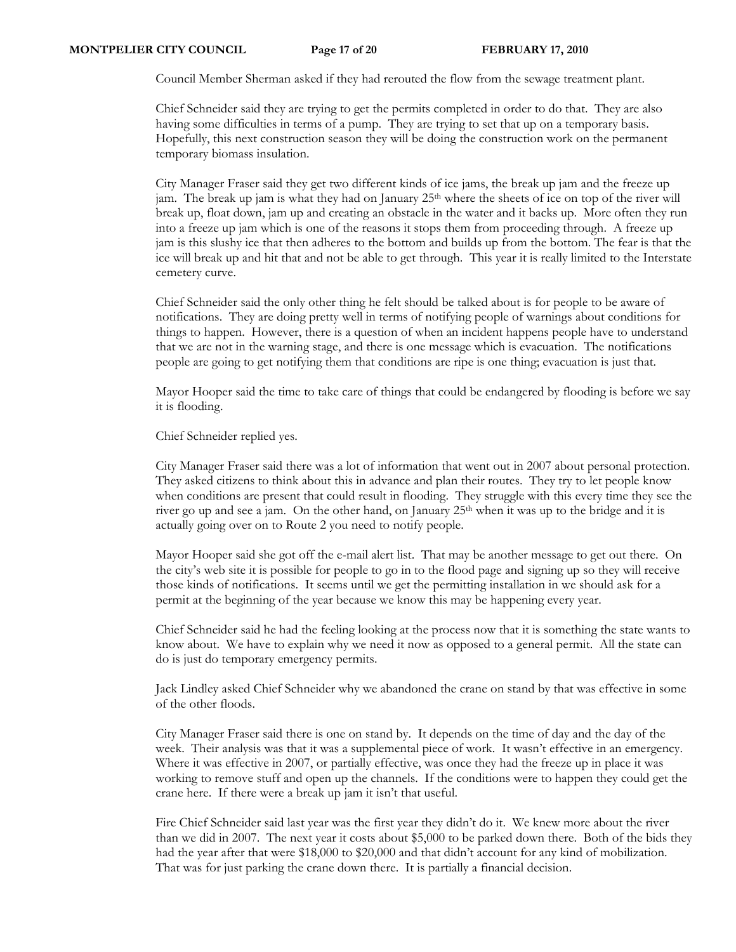Council Member Sherman asked if they had rerouted the flow from the sewage treatment plant.

Chief Schneider said they are trying to get the permits completed in order to do that. They are also having some difficulties in terms of a pump. They are trying to set that up on a temporary basis. Hopefully, this next construction season they will be doing the construction work on the permanent temporary biomass insulation.

City Manager Fraser said they get two different kinds of ice jams, the break up jam and the freeze up jam. The break up jam is what they had on January 25<sup>th</sup> where the sheets of ice on top of the river will break up, float down, jam up and creating an obstacle in the water and it backs up. More often they run into a freeze up jam which is one of the reasons it stops them from proceeding through. A freeze up jam is this slushy ice that then adheres to the bottom and builds up from the bottom. The fear is that the ice will break up and hit that and not be able to get through. This year it is really limited to the Interstate cemetery curve.

Chief Schneider said the only other thing he felt should be talked about is for people to be aware of notifications. They are doing pretty well in terms of notifying people of warnings about conditions for things to happen. However, there is a question of when an incident happens people have to understand that we are not in the warning stage, and there is one message which is evacuation. The notifications people are going to get notifying them that conditions are ripe is one thing; evacuation is just that.

Mayor Hooper said the time to take care of things that could be endangered by flooding is before we say it is flooding.

Chief Schneider replied yes.

City Manager Fraser said there was a lot of information that went out in 2007 about personal protection. They asked citizens to think about this in advance and plan their routes. They try to let people know when conditions are present that could result in flooding. They struggle with this every time they see the river go up and see a jam. On the other hand, on January 25<sup>th</sup> when it was up to the bridge and it is actually going over on to Route 2 you need to notify people.

Mayor Hooper said she got off the e-mail alert list. That may be another message to get out there. On the city's web site it is possible for people to go in to the flood page and signing up so they will receive those kinds of notifications. It seems until we get the permitting installation in we should ask for a permit at the beginning of the year because we know this may be happening every year.

Chief Schneider said he had the feeling looking at the process now that it is something the state wants to know about. We have to explain why we need it now as opposed to a general permit. All the state can do is just do temporary emergency permits.

Jack Lindley asked Chief Schneider why we abandoned the crane on stand by that was effective in some of the other floods.

City Manager Fraser said there is one on stand by. It depends on the time of day and the day of the week. Their analysis was that it was a supplemental piece of work. It wasn't effective in an emergency. Where it was effective in 2007, or partially effective, was once they had the freeze up in place it was working to remove stuff and open up the channels. If the conditions were to happen they could get the crane here. If there were a break up jam it isn't that useful.

Fire Chief Schneider said last year was the first year they didn't do it. We knew more about the river than we did in 2007. The next year it costs about \$5,000 to be parked down there. Both of the bids they had the year after that were \$18,000 to \$20,000 and that didn't account for any kind of mobilization. That was for just parking the crane down there. It is partially a financial decision.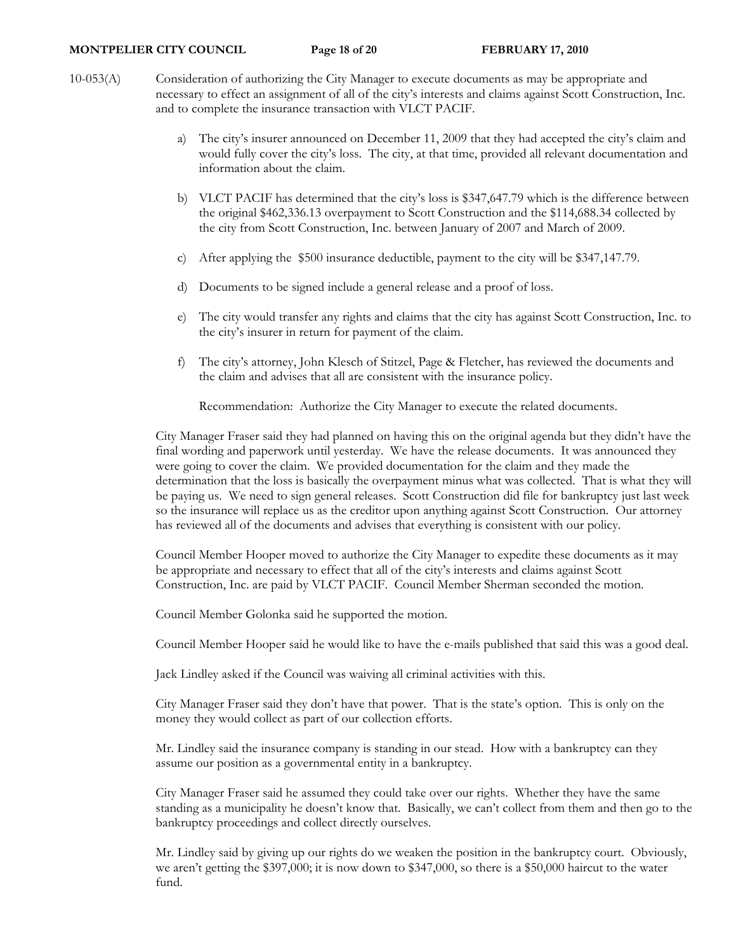- 10-053(A) Consideration of authorizing the City Manager to execute documents as may be appropriate and necessary to effect an assignment of all of the city's interests and claims against Scott Construction, Inc. and to complete the insurance transaction with VLCT PACIF.
	- a) The city's insurer announced on December 11, 2009 that they had accepted the city's claim and would fully cover the city's loss. The city, at that time, provided all relevant documentation and information about the claim.
	- b) VLCT PACIF has determined that the city's loss is \$347,647.79 which is the difference between the original \$462,336.13 overpayment to Scott Construction and the \$114,688.34 collected by the city from Scott Construction, Inc. between January of 2007 and March of 2009.
	- c) After applying the \$500 insurance deductible, payment to the city will be \$347,147.79.
	- d) Documents to be signed include a general release and a proof of loss.
	- e) The city would transfer any rights and claims that the city has against Scott Construction, Inc. to the city's insurer in return for payment of the claim.
	- f) The city's attorney, John Klesch of Stitzel, Page & Fletcher, has reviewed the documents and the claim and advises that all are consistent with the insurance policy.

Recommendation: Authorize the City Manager to execute the related documents.

City Manager Fraser said they had planned on having this on the original agenda but they didn't have the final wording and paperwork until yesterday. We have the release documents. It was announced they were going to cover the claim. We provided documentation for the claim and they made the determination that the loss is basically the overpayment minus what was collected. That is what they will be paying us. We need to sign general releases. Scott Construction did file for bankruptcy just last week so the insurance will replace us as the creditor upon anything against Scott Construction. Our attorney has reviewed all of the documents and advises that everything is consistent with our policy.

Council Member Hooper moved to authorize the City Manager to expedite these documents as it may be appropriate and necessary to effect that all of the city's interests and claims against Scott Construction, Inc. are paid by VLCT PACIF. Council Member Sherman seconded the motion.

Council Member Golonka said he supported the motion.

Council Member Hooper said he would like to have the e-mails published that said this was a good deal.

Jack Lindley asked if the Council was waiving all criminal activities with this.

City Manager Fraser said they don't have that power. That is the state's option. This is only on the money they would collect as part of our collection efforts.

Mr. Lindley said the insurance company is standing in our stead. How with a bankruptcy can they assume our position as a governmental entity in a bankruptcy.

City Manager Fraser said he assumed they could take over our rights. Whether they have the same standing as a municipality he doesn't know that. Basically, we can't collect from them and then go to the bankruptcy proceedings and collect directly ourselves.

Mr. Lindley said by giving up our rights do we weaken the position in the bankruptcy court. Obviously, we aren't getting the \$397,000; it is now down to \$347,000, so there is a \$50,000 haircut to the water fund.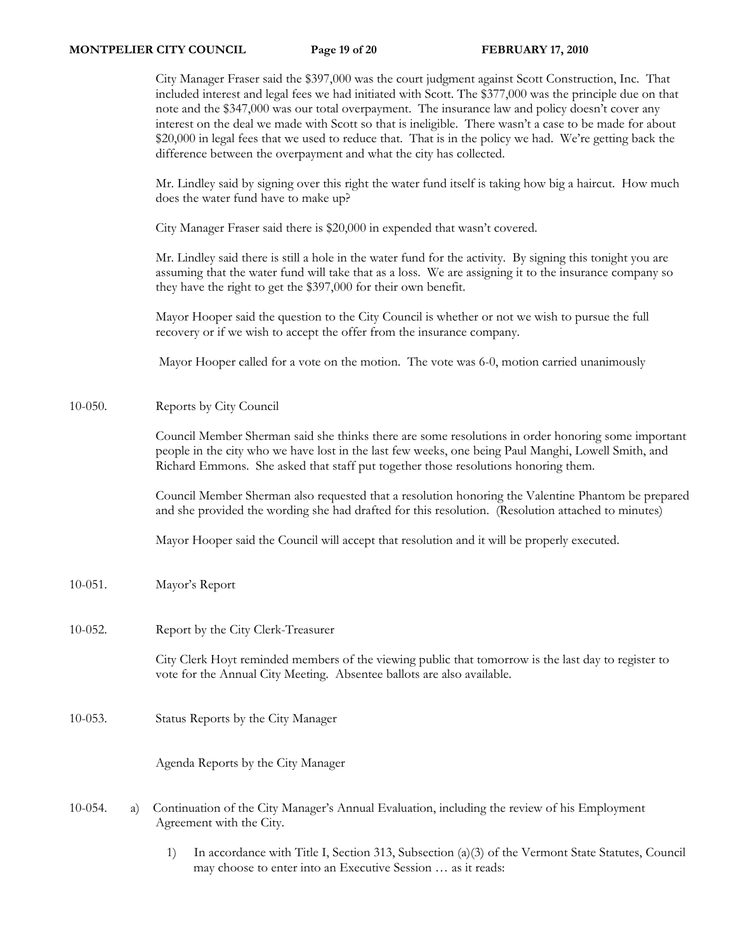City Manager Fraser said the \$397,000 was the court judgment against Scott Construction, Inc. That included interest and legal fees we had initiated with Scott. The \$377,000 was the principle due on that note and the \$347,000 was our total overpayment. The insurance law and policy doesn't cover any interest on the deal we made with Scott so that is ineligible. There wasn't a case to be made for about \$20,000 in legal fees that we used to reduce that. That is in the policy we had. We're getting back the difference between the overpayment and what the city has collected.

Mr. Lindley said by signing over this right the water fund itself is taking how big a haircut. How much does the water fund have to make up?

City Manager Fraser said there is \$20,000 in expended that wasn't covered.

Mr. Lindley said there is still a hole in the water fund for the activity. By signing this tonight you are assuming that the water fund will take that as a loss. We are assigning it to the insurance company so they have the right to get the \$397,000 for their own benefit.

Mayor Hooper said the question to the City Council is whether or not we wish to pursue the full recovery or if we wish to accept the offer from the insurance company.

Mayor Hooper called for a vote on the motion. The vote was 6-0, motion carried unanimously

10-050. Reports by City Council

Council Member Sherman said she thinks there are some resolutions in order honoring some important people in the city who we have lost in the last few weeks, one being Paul Manghi, Lowell Smith, and Richard Emmons. She asked that staff put together those resolutions honoring them.

Council Member Sherman also requested that a resolution honoring the Valentine Phantom be prepared and she provided the wording she had drafted for this resolution. (Resolution attached to minutes)

Mayor Hooper said the Council will accept that resolution and it will be properly executed.

- 10-051. Mayor's Report
- 10-052. Report by the City Clerk-Treasurer

City Clerk Hoyt reminded members of the viewing public that tomorrow is the last day to register to vote for the Annual City Meeting. Absentee ballots are also available.

10-053. Status Reports by the City Manager

Agenda Reports by the City Manager

- 10-054. a) Continuation of the City Manager's Annual Evaluation, including the review of his Employment Agreement with the City.
	- 1) In accordance with Title I, Section 313, Subsection (a)(3) of the Vermont State Statutes, Council may choose to enter into an Executive Session … as it reads: